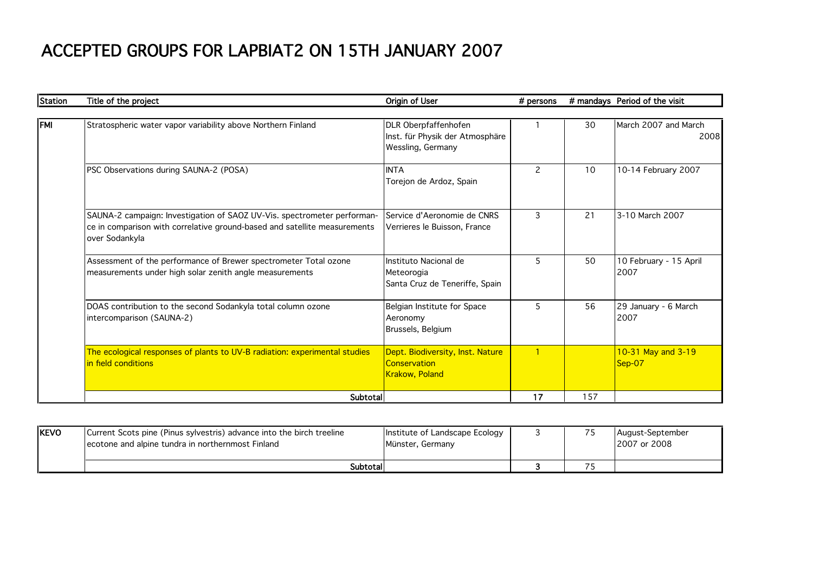## ACCEPTED GROUPS FOR LAPBIAT2 ON 15TH JANUARY 2007

| <b>Station</b> | Title of the project                                                                                                                                                   | Origin of User                                                               | # persons |     | # mandays Period of the visit  |
|----------------|------------------------------------------------------------------------------------------------------------------------------------------------------------------------|------------------------------------------------------------------------------|-----------|-----|--------------------------------|
|                |                                                                                                                                                                        |                                                                              |           |     |                                |
| <b>FMI</b>     | Stratospheric water vapor variability above Northern Finland                                                                                                           | DLR Oberpfaffenhofen<br>Inst. für Physik der Atmosphäre<br>Wessling, Germany |           | 30  | March 2007 and March<br>2008   |
|                | PSC Observations during SAUNA-2 (POSA)                                                                                                                                 | <b>INTA</b><br>Torejon de Ardoz, Spain                                       | 2         | 10  | 10-14 February 2007            |
|                | SAUNA-2 campaign: Investigation of SAOZ UV-Vis. spectrometer performan-<br>ce in comparison with correlative ground-based and satellite measurements<br>over Sodankyla | Service d'Aeronomie de CNRS<br>Verrieres le Buisson, France                  | 3         | 21  | 3-10 March 2007                |
|                | Assessment of the performance of Brewer spectrometer Total ozone<br>measurements under high solar zenith angle measurements                                            | Instituto Nacional de<br>Meteorogia<br>Santa Cruz de Teneriffe, Spain        | 5         | 50  | 10 February - 15 April<br>2007 |
|                | DOAS contribution to the second Sodankyla total column ozone<br>intercomparison (SAUNA-2)                                                                              | Belgian Institute for Space<br>Aeronomy<br>Brussels, Belgium                 | 5         | 56  | 29 January - 6 March<br>2007   |
|                | The ecological responses of plants to UV-B radiation: experimental studies<br>in field conditions                                                                      | Dept. Biodiversity, Inst. Nature<br>Conservation<br>Krakow, Poland           |           |     | 10-31 May and 3-19<br>$Sep-07$ |
|                | Subtotal                                                                                                                                                               |                                                                              | 17        | 157 |                                |

| KEVO | Current Scots pine (Pinus sylvestris) advance into the birch treeline<br>Lecotone and alpine tundra in northernmost Finland | Institute of Landscape Ecology<br>Münster, Germany |  | August-September<br>12007 or 2008 |
|------|-----------------------------------------------------------------------------------------------------------------------------|----------------------------------------------------|--|-----------------------------------|
|      | Subtotall                                                                                                                   |                                                    |  |                                   |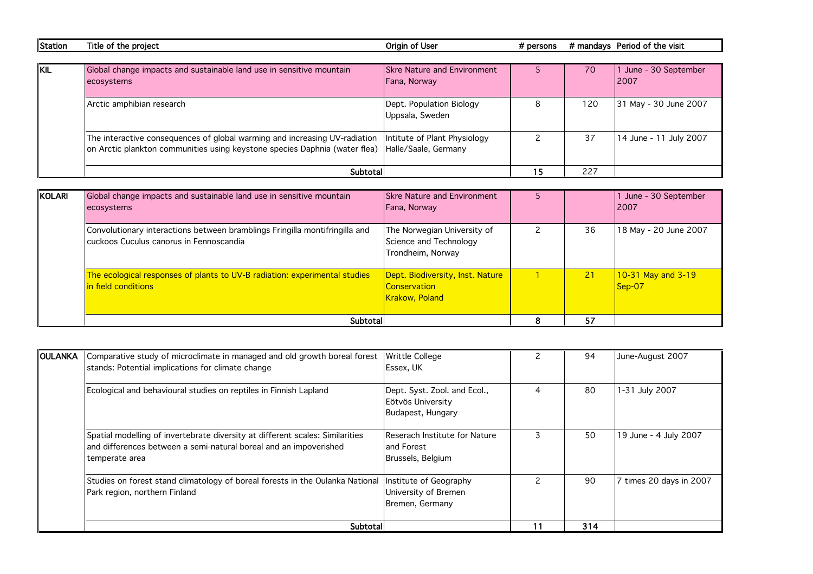| Station | Title of the project                                                       | Origin of User                     | $#$ persons |     | # mandays Period of the visit |
|---------|----------------------------------------------------------------------------|------------------------------------|-------------|-----|-------------------------------|
|         |                                                                            |                                    |             |     |                               |
| KIL     | Global change impacts and sustainable land use in sensitive mountain       | <b>Skre Nature and Environment</b> |             | 70  | June - 30 September           |
|         | ecosystems                                                                 | Fana, Norway                       |             |     | 12007                         |
|         |                                                                            |                                    |             |     |                               |
|         | Arctic amphibian research                                                  | Dept. Population Biology           |             | 120 | 31 May - 30 June 2007         |
|         |                                                                            | Uppsala, Sweden                    |             |     |                               |
|         |                                                                            |                                    |             |     |                               |
|         | The interactive consequences of global warming and increasing UV-radiation | Intitute of Plant Physiology       |             | 37  | 14 June - 11 July 2007        |
|         | on Arctic plankton communities using keystone species Daphnia (water flea) | Halle/Saale, Germany               |             |     |                               |
|         |                                                                            |                                    |             |     |                               |
|         | Subtotal                                                                   |                                    | 15          | 227 |                               |

| KOLARI | Global change impacts and sustainable land use in sensitive mountain<br>ecosystems                                     | <b>Skre Nature and Environment</b><br>Fana, Norway                                       |    | 1 June - 30 September<br><b>2007</b> |
|--------|------------------------------------------------------------------------------------------------------------------------|------------------------------------------------------------------------------------------|----|--------------------------------------|
|        | Convolutionary interactions between bramblings Fringilla montifringilla and<br>cuckoos Cuculus canorus in Fennoscandia | The Norwegian University of<br>Science and Technology<br>Trondheim, Norway               | 36 | 18 May - 20 June 2007                |
|        | The ecological responses of plants to UV-B radiation: experimental studies<br>in field conditions                      | <b>Dept. Biodiversity, Inst. Nature</b><br><b>Conservation</b><br><b>Krakow</b> , Poland | 21 | $10-31$ May and $3-19$<br>$Sep-07$   |
|        | Subtotal                                                                                                               |                                                                                          | 57 |                                      |

| <b>OULANKA</b> | Comparative study of microclimate in managed and old growth boreal forest<br>stands: Potential implications for climate change                                       | <b>Writtle College</b><br><b>Essex, UK</b>                             |    | 94  | June-August 2007        |
|----------------|----------------------------------------------------------------------------------------------------------------------------------------------------------------------|------------------------------------------------------------------------|----|-----|-------------------------|
|                | Ecological and behavioural studies on reptiles in Finnish Lapland                                                                                                    | Dept. Syst. Zool. and Ecol.,<br>Eötvös University<br>Budapest, Hungary | 4  | 80  | 1-31 July 2007          |
|                | Spatial modelling of invertebrate diversity at different scales: Similarities<br>and differences between a semi-natural boreal and an impoverished<br>temperate area | Reserach Institute for Nature<br>land Forest<br>Brussels, Belgium      | 3  | 50  | 19 June - 4 July 2007   |
|                | Studies on forest stand climatology of boreal forests in the Oulanka National<br>Park region, northern Finland                                                       | Institute of Geography<br>University of Bremen<br>Bremen, Germany      |    | 90  | 7 times 20 days in 2007 |
|                | Subtotal                                                                                                                                                             |                                                                        | 11 | 314 |                         |